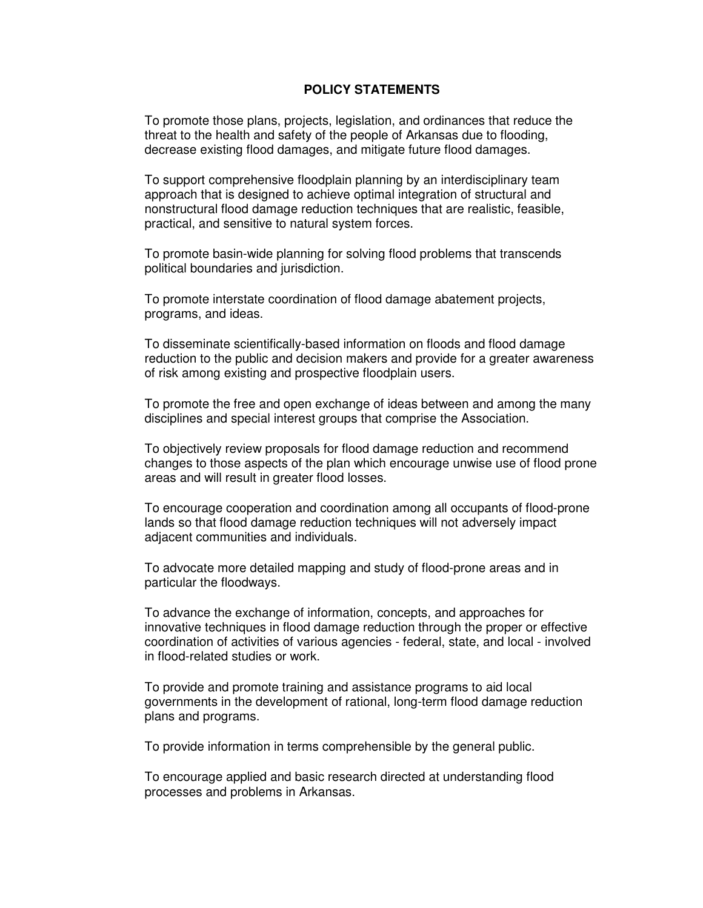## **POLICY STATEMENTS**

To promote those plans, projects, legislation, and ordinances that reduce the threat to the health and safety of the people of Arkansas due to flooding, decrease existing flood damages, and mitigate future flood damages.

To support comprehensive floodplain planning by an interdisciplinary team approach that is designed to achieve optimal integration of structural and nonstructural flood damage reduction techniques that are realistic, feasible, practical, and sensitive to natural system forces.

To promote basin-wide planning for solving flood problems that transcends political boundaries and jurisdiction.

To promote interstate coordination of flood damage abatement projects, programs, and ideas.

To disseminate scientifically-based information on floods and flood damage reduction to the public and decision makers and provide for a greater awareness of risk among existing and prospective floodplain users.

To promote the free and open exchange of ideas between and among the many disciplines and special interest groups that comprise the Association.

To objectively review proposals for flood damage reduction and recommend changes to those aspects of the plan which encourage unwise use of flood prone areas and will result in greater flood losses.

To encourage cooperation and coordination among all occupants of flood-prone lands so that flood damage reduction techniques will not adversely impact adjacent communities and individuals.

To advocate more detailed mapping and study of flood-prone areas and in particular the floodways.

To advance the exchange of information, concepts, and approaches for innovative techniques in flood damage reduction through the proper or effective coordination of activities of various agencies - federal, state, and local - involved in flood-related studies or work.

To provide and promote training and assistance programs to aid local governments in the development of rational, long-term flood damage reduction plans and programs.

To provide information in terms comprehensible by the general public.

To encourage applied and basic research directed at understanding flood processes and problems in Arkansas.